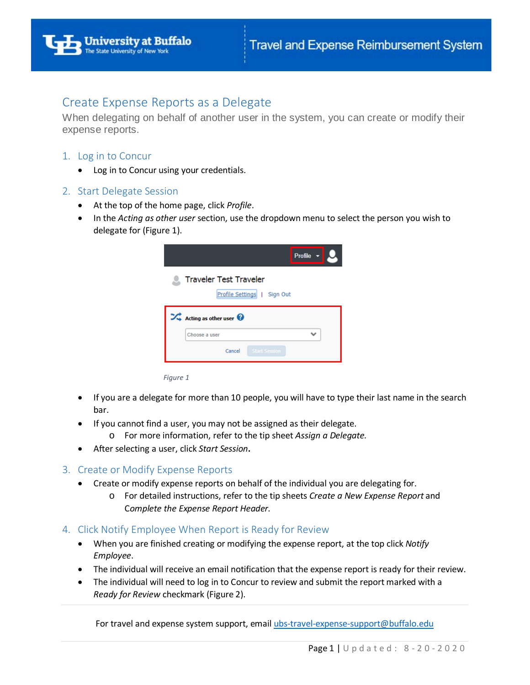# Create Expense Reports as a Delegate

When delegating on behalf of another user in the system, you can create or modify their expense reports.

## 1. Log in to Concur

• Log in to Concur using your credentials.

### 2. Start Delegate Session

- At the top of the home page, click *Profile*.
- In the *Acting as other user* section, use the dropdown menu to select the person you wish to delegate for (Figure 1).

|                                                                   | Profile $\mathbf{v}$ |
|-------------------------------------------------------------------|----------------------|
| <b>C</b> Traveler Test Traveler<br>Profile Settings  <br>Sign Out |                      |
| $\overrightarrow{v}$ Acting as other user                         |                      |
| Choose a user                                                     |                      |
| <b>Start Session</b><br>Cancel                                    |                      |

*Figure 1*

- If you are a delegate for more than 10 people, you will have to type their last name in the search bar.
- If you cannot find a user, you may not be assigned as their delegate.
	- o For more information, refer to the tip sheet *Assign a Delegate.*
- After selecting a user, click *Start Session***.**

#### 3. Create or Modify Expense Reports

- Create or modify expense reports on behalf of the individual you are delegating for.
	- o For detailed instructions, refer to the tip sheets *Create a New Expense Report* and C*omplete the Expense Report Header.*
- 4. Click Notify Employee When Report is Ready for Review
	- When you are finished creating or modifying the expense report, at the top click *Notify Employee*.
	- The individual will receive an email notification that the expense report is ready for their review.
	- The individual will need to log in to Concur to review and submit the report marked with a *Ready for Review* checkmark (Figure 2).

For travel and expense system support, email [ubs-travel-expense-support@buffalo.edu](mailto:ubs-travel-expense-support@buffalo.edu)